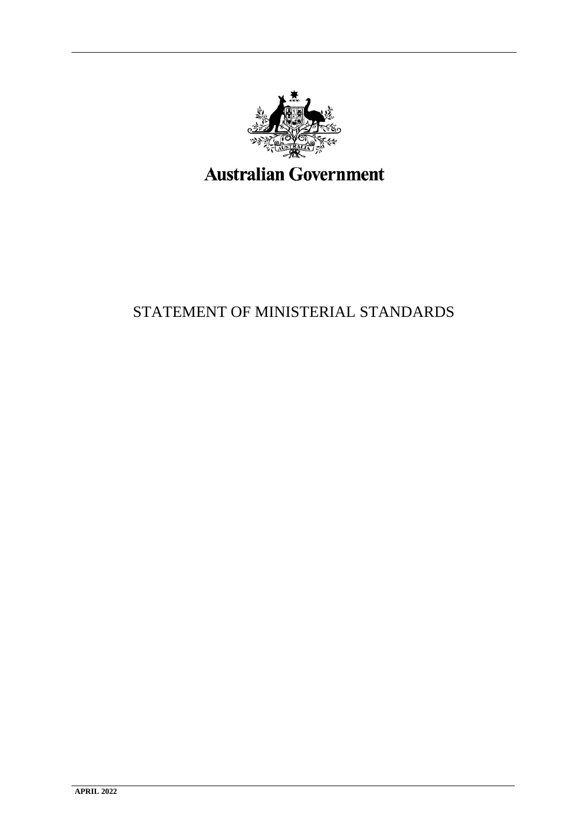

# <span id="page-0-0"></span>STATEMENT OF MINISTERIAL STANDARDS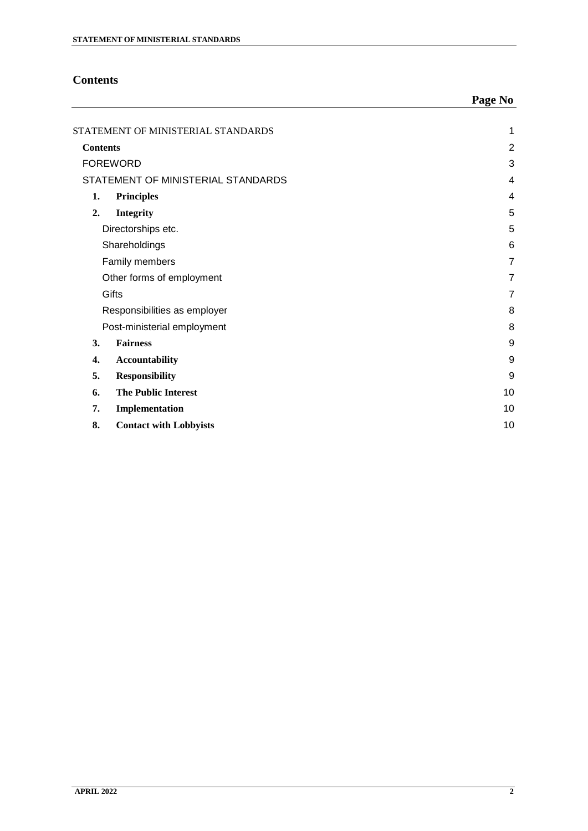## <span id="page-1-0"></span>**Contents**

|                                    |                               | Page No        |
|------------------------------------|-------------------------------|----------------|
| STATEMENT OF MINISTERIAL STANDARDS |                               | 1              |
| <b>Contents</b>                    |                               | $\overline{2}$ |
| <b>FOREWORD</b>                    |                               | 3              |
| STATEMENT OF MINISTERIAL STANDARDS |                               | 4              |
| 1.                                 | Principles                    | $\overline{4}$ |
| 2.                                 | <b>Integrity</b>              | 5              |
| Directorships etc.                 |                               | 5              |
| Shareholdings                      |                               | 6              |
| Family members                     |                               | $\overline{7}$ |
| Other forms of employment          |                               | 7              |
| Gifts                              |                               | $\overline{7}$ |
| Responsibilities as employer       |                               | 8              |
|                                    | Post-ministerial employment   | 8              |
| 3.                                 | <b>Fairness</b>               | 9              |
| 4.                                 | Accountability                | 9              |
| 5.                                 | <b>Responsibility</b>         | 9              |
| 6.                                 | <b>The Public Interest</b>    | 10             |
| 7.                                 | Implementation                | 10             |
| 8.                                 | <b>Contact with Lobbyists</b> | 10             |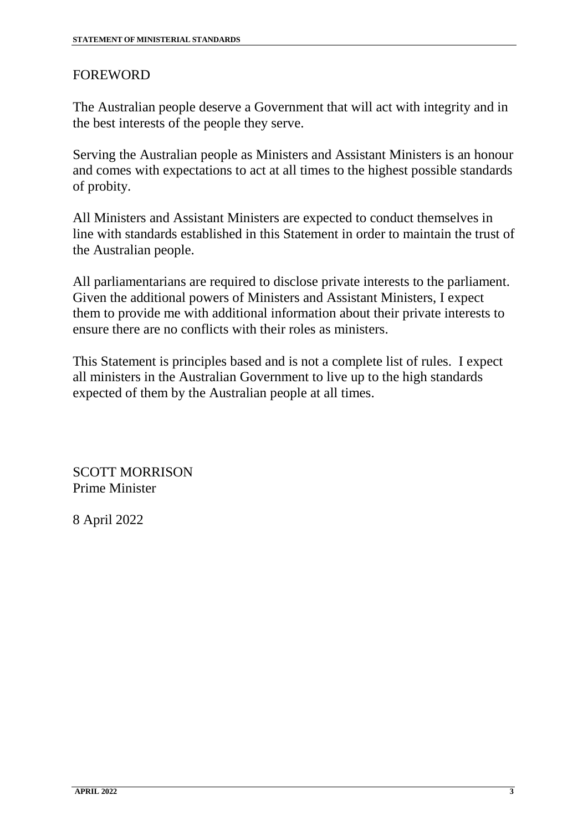## <span id="page-2-0"></span>FOREWORD

The Australian people deserve a Government that will act with integrity and in the best interests of the people they serve.

Serving the Australian people as Ministers and Assistant Ministers is an honour and comes with expectations to act at all times to the highest possible standards of probity.

All Ministers and Assistant Ministers are expected to conduct themselves in line with standards established in this Statement in order to maintain the trust of the Australian people.

All parliamentarians are required to disclose private interests to the parliament. Given the additional powers of Ministers and Assistant Ministers, I expect them to provide me with additional information about their private interests to ensure there are no conflicts with their roles as ministers.

This Statement is principles based and is not a complete list of rules. I expect all ministers in the Australian Government to live up to the high standards expected of them by the Australian people at all times.

SCOTT MORRISON Prime Minister

8 April 2022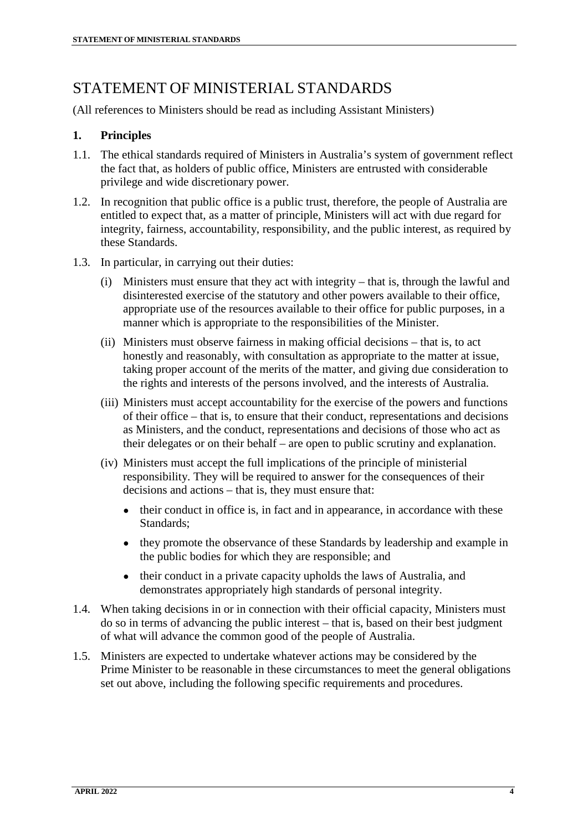# <span id="page-3-0"></span>STATEMENT OF MINISTERIAL STANDARDS

(All references to Ministers should be read as including Assistant Ministers)

#### <span id="page-3-1"></span>**1. Principles**

- 1.1. The ethical standards required of Ministers in Australia's system of government reflect the fact that, as holders of public office, Ministers are entrusted with considerable privilege and wide discretionary power.
- 1.2. In recognition that public office is a public trust, therefore, the people of Australia are entitled to expect that, as a matter of principle, Ministers will act with due regard for integrity, fairness, accountability, responsibility, and the public interest, as required by these Standards.
- 1.3. In particular, in carrying out their duties:
	- (i) Ministers must ensure that they act with integrity that is, through the lawful and disinterested exercise of the statutory and other powers available to their office, appropriate use of the resources available to their office for public purposes, in a manner which is appropriate to the responsibilities of the Minister.
	- (ii) Ministers must observe fairness in making official decisions that is, to act honestly and reasonably, with consultation as appropriate to the matter at issue, taking proper account of the merits of the matter, and giving due consideration to the rights and interests of the persons involved, and the interests of Australia.
	- (iii) Ministers must accept accountability for the exercise of the powers and functions of their office – that is, to ensure that their conduct, representations and decisions as Ministers, and the conduct, representations and decisions of those who act as their delegates or on their behalf – are open to public scrutiny and explanation.
	- (iv) Ministers must accept the full implications of the principle of ministerial responsibility. They will be required to answer for the consequences of their decisions and actions – that is, they must ensure that:
		- their conduct in office is, in fact and in appearance, in accordance with these Standards;
		- they promote the observance of these Standards by leadership and example in the public bodies for which they are responsible; and
		- their conduct in a private capacity upholds the laws of Australia, and demonstrates appropriately high standards of personal integrity.
- 1.4. When taking decisions in or in connection with their official capacity, Ministers must do so in terms of advancing the public interest – that is, based on their best judgment of what will advance the common good of the people of Australia.
- 1.5. Ministers are expected to undertake whatever actions may be considered by the Prime Minister to be reasonable in these circumstances to meet the general obligations set out above, including the following specific requirements and procedures.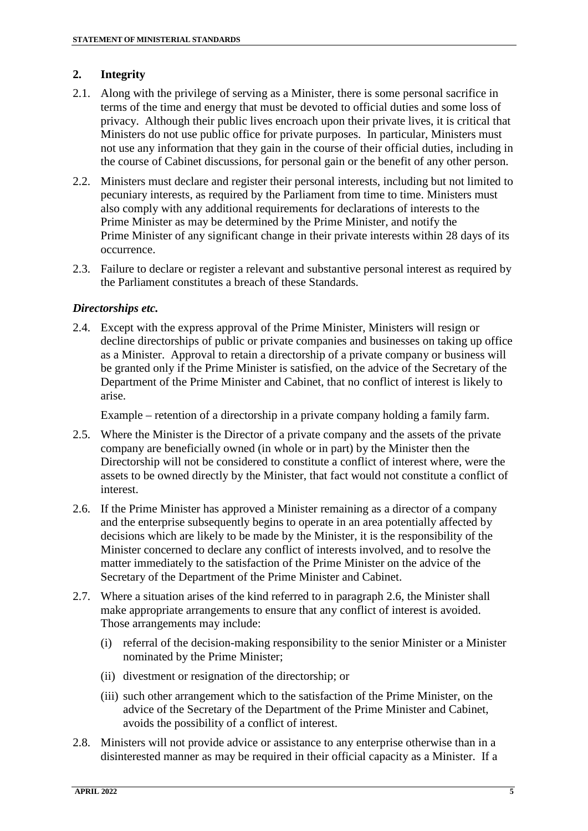#### <span id="page-4-0"></span>**2. Integrity**

- 2.1. Along with the privilege of serving as a Minister, there is some personal sacrifice in terms of the time and energy that must be devoted to official duties and some loss of privacy. Although their public lives encroach upon their private lives, it is critical that Ministers do not use public office for private purposes. In particular, Ministers must not use any information that they gain in the course of their official duties, including in the course of Cabinet discussions, for personal gain or the benefit of any other person.
- 2.2. Ministers must declare and register their personal interests, including but not limited to pecuniary interests, as required by the Parliament from time to time. Ministers must also comply with any additional requirements for declarations of interests to the Prime Minister as may be determined by the Prime Minister, and notify the Prime Minister of any significant change in their private interests within 28 days of its occurrence.
- 2.3. Failure to declare or register a relevant and substantive personal interest as required by the Parliament constitutes a breach of these Standards.

#### <span id="page-4-1"></span>*Directorships etc.*

2.4. Except with the express approval of the Prime Minister, Ministers will resign or decline directorships of public or private companies and businesses on taking up office as a Minister. Approval to retain a directorship of a private company or business will be granted only if the Prime Minister is satisfied, on the advice of the Secretary of the Department of the Prime Minister and Cabinet, that no conflict of interest is likely to arise.

Example – retention of a directorship in a private company holding a family farm.

- 2.5. Where the Minister is the Director of a private company and the assets of the private company are beneficially owned (in whole or in part) by the Minister then the Directorship will not be considered to constitute a conflict of interest where, were the assets to be owned directly by the Minister, that fact would not constitute a conflict of interest.
- 2.6. If the Prime Minister has approved a Minister remaining as a director of a company and the enterprise subsequently begins to operate in an area potentially affected by decisions which are likely to be made by the Minister, it is the responsibility of the Minister concerned to declare any conflict of interests involved, and to resolve the matter immediately to the satisfaction of the Prime Minister on the advice of the Secretary of the Department of the Prime Minister and Cabinet.
- 2.7. Where a situation arises of the kind referred to in paragraph 2.6, the Minister shall make appropriate arrangements to ensure that any conflict of interest is avoided. Those arrangements may include:
	- (i) referral of the decision-making responsibility to the senior Minister or a Minister nominated by the Prime Minister;
	- (ii) divestment or resignation of the directorship; or
	- (iii) such other arrangement which to the satisfaction of the Prime Minister, on the advice of the Secretary of the Department of the Prime Minister and Cabinet, avoids the possibility of a conflict of interest.
- 2.8. Ministers will not provide advice or assistance to any enterprise otherwise than in a disinterested manner as may be required in their official capacity as a Minister. If a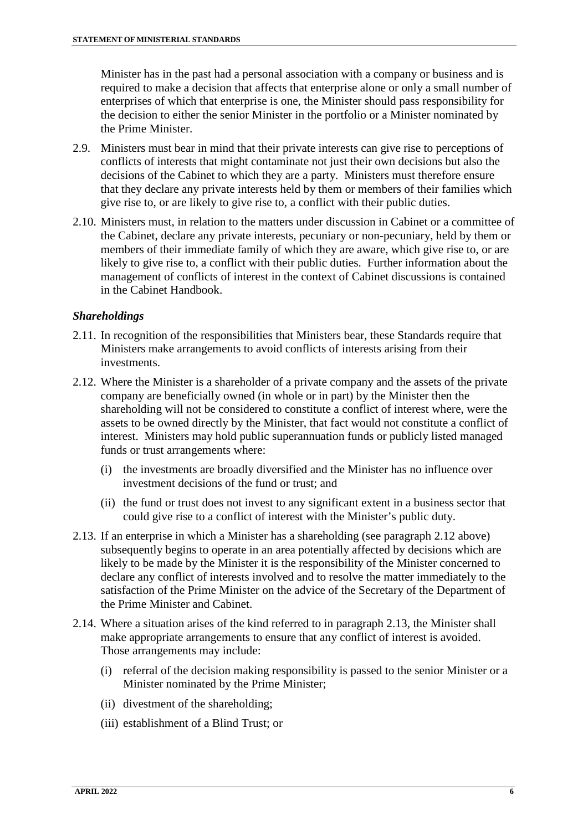Minister has in the past had a personal association with a company or business and is required to make a decision that affects that enterprise alone or only a small number of enterprises of which that enterprise is one, the Minister should pass responsibility for the decision to either the senior Minister in the portfolio or a Minister nominated by the Prime Minister.

- 2.9. Ministers must bear in mind that their private interests can give rise to perceptions of conflicts of interests that might contaminate not just their own decisions but also the decisions of the Cabinet to which they are a party. Ministers must therefore ensure that they declare any private interests held by them or members of their families which give rise to, or are likely to give rise to, a conflict with their public duties.
- 2.10. Ministers must, in relation to the matters under discussion in Cabinet or a committee of the Cabinet, declare any private interests, pecuniary or non-pecuniary, held by them or members of their immediate family of which they are aware, which give rise to, or are likely to give rise to, a conflict with their public duties. Further information about the management of conflicts of interest in the context of Cabinet discussions is contained in the Cabinet Handbook.

#### <span id="page-5-0"></span>*Shareholdings*

- 2.11. In recognition of the responsibilities that Ministers bear, these Standards require that Ministers make arrangements to avoid conflicts of interests arising from their investments.
- 2.12. Where the Minister is a shareholder of a private company and the assets of the private company are beneficially owned (in whole or in part) by the Minister then the shareholding will not be considered to constitute a conflict of interest where, were the assets to be owned directly by the Minister, that fact would not constitute a conflict of interest. Ministers may hold public superannuation funds or publicly listed managed funds or trust arrangements where:
	- (i) the investments are broadly diversified and the Minister has no influence over investment decisions of the fund or trust; and
	- (ii) the fund or trust does not invest to any significant extent in a business sector that could give rise to a conflict of interest with the Minister's public duty.
- 2.13. If an enterprise in which a Minister has a shareholding (see paragraph 2.12 above) subsequently begins to operate in an area potentially affected by decisions which are likely to be made by the Minister it is the responsibility of the Minister concerned to declare any conflict of interests involved and to resolve the matter immediately to the satisfaction of the Prime Minister on the advice of the Secretary of the Department of the Prime Minister and Cabinet.
- 2.14. Where a situation arises of the kind referred to in paragraph 2.13, the Minister shall make appropriate arrangements to ensure that any conflict of interest is avoided. Those arrangements may include:
	- (i) referral of the decision making responsibility is passed to the senior Minister or a Minister nominated by the Prime Minister;
	- (ii) divestment of the shareholding;
	- (iii) establishment of a Blind Trust; or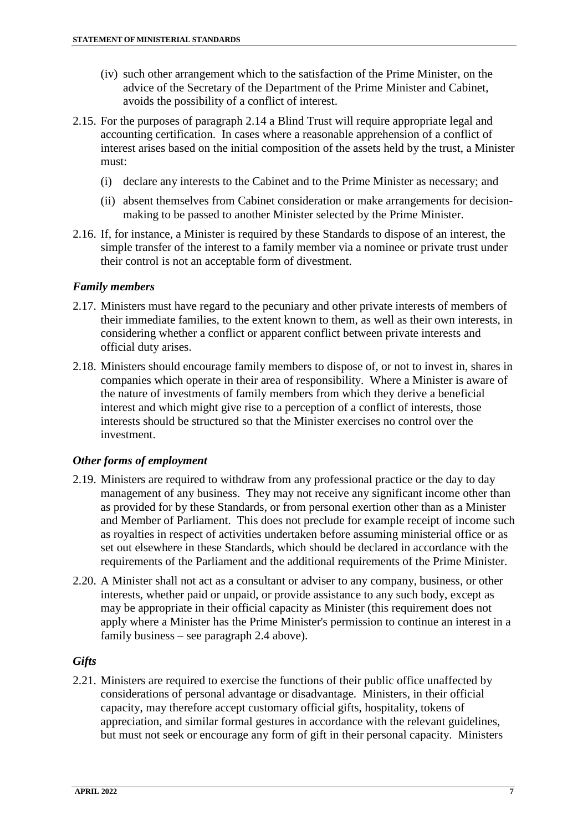- (iv) such other arrangement which to the satisfaction of the Prime Minister, on the advice of the Secretary of the Department of the Prime Minister and Cabinet, avoids the possibility of a conflict of interest.
- 2.15. For the purposes of paragraph 2.14 a Blind Trust will require appropriate legal and accounting certification. In cases where a reasonable apprehension of a conflict of interest arises based on the initial composition of the assets held by the trust, a Minister must:
	- (i) declare any interests to the Cabinet and to the Prime Minister as necessary; and
	- (ii) absent themselves from Cabinet consideration or make arrangements for decisionmaking to be passed to another Minister selected by the Prime Minister.
- 2.16. If, for instance, a Minister is required by these Standards to dispose of an interest, the simple transfer of the interest to a family member via a nominee or private trust under their control is not an acceptable form of divestment.

#### <span id="page-6-0"></span>*Family members*

- 2.17. Ministers must have regard to the pecuniary and other private interests of members of their immediate families, to the extent known to them, as well as their own interests, in considering whether a conflict or apparent conflict between private interests and official duty arises.
- 2.18. Ministers should encourage family members to dispose of, or not to invest in, shares in companies which operate in their area of responsibility. Where a Minister is aware of the nature of investments of family members from which they derive a beneficial interest and which might give rise to a perception of a conflict of interests, those interests should be structured so that the Minister exercises no control over the investment.

#### <span id="page-6-1"></span>*Other forms of employment*

- 2.19. Ministers are required to withdraw from any professional practice or the day to day management of any business. They may not receive any significant income other than as provided for by these Standards, or from personal exertion other than as a Minister and Member of Parliament. This does not preclude for example receipt of income such as royalties in respect of activities undertaken before assuming ministerial office or as set out elsewhere in these Standards, which should be declared in accordance with the requirements of the Parliament and the additional requirements of the Prime Minister.
- 2.20. A Minister shall not act as a consultant or adviser to any company, business, or other interests, whether paid or unpaid, or provide assistance to any such body, except as may be appropriate in their official capacity as Minister (this requirement does not apply where a Minister has the Prime Minister's permission to continue an interest in a family business – see paragraph 2.4 above).

#### <span id="page-6-2"></span>*Gifts*

2.21. Ministers are required to exercise the functions of their public office unaffected by considerations of personal advantage or disadvantage. Ministers, in their official capacity, may therefore accept customary official gifts, hospitality, tokens of appreciation, and similar formal gestures in accordance with the relevant guidelines, but must not seek or encourage any form of gift in their personal capacity. Ministers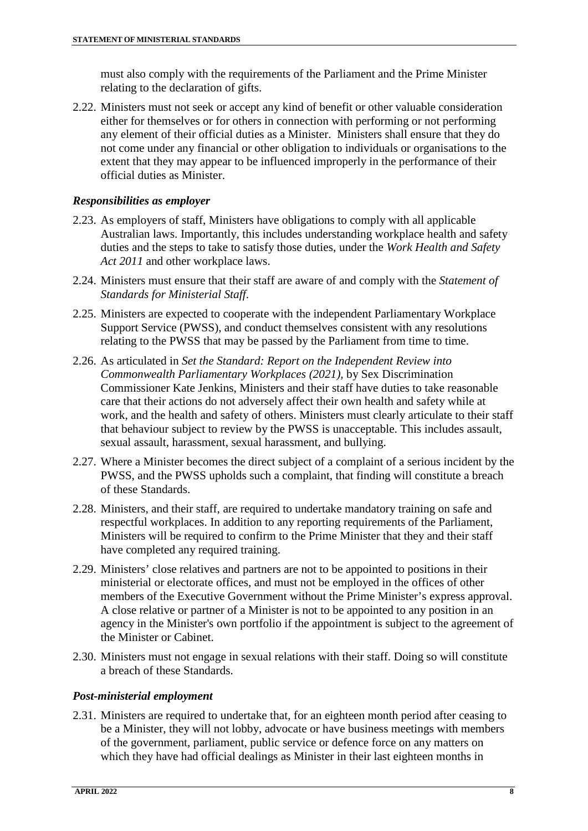must also comply with the requirements of the Parliament and the Prime Minister relating to the declaration of gifts.

2.22. Ministers must not seek or accept any kind of benefit or other valuable consideration either for themselves or for others in connection with performing or not performing any element of their official duties as a Minister. Ministers shall ensure that they do not come under any financial or other obligation to individuals or organisations to the extent that they may appear to be influenced improperly in the performance of their official duties as Minister.

#### <span id="page-7-0"></span>*Responsibilities as employer*

- 2.23. As employers of staff, Ministers have obligations to comply with all applicable Australian laws. Importantly, this includes understanding workplace health and safety duties and the steps to take to satisfy those duties, under the *Work Health and Safety Act 2011* and other workplace laws.
- 2.24. Ministers must ensure that their staff are aware of and comply with the *Statement of Standards for Ministerial Staff*.
- 2.25. Ministers are expected to cooperate with the independent Parliamentary Workplace Support Service (PWSS), and conduct themselves consistent with any resolutions relating to the PWSS that may be passed by the Parliament from time to time.
- 2.26. As articulated in *Set the Standard: Report on the Independent Review into Commonwealth Parliamentary Workplaces (2021),* by Sex Discrimination Commissioner Kate Jenkins, Ministers and their staff have duties to take reasonable care that their actions do not adversely affect their own health and safety while at work, and the health and safety of others. Ministers must clearly articulate to their staff that behaviour subject to review by the PWSS is unacceptable. This includes assault, sexual assault, harassment, sexual harassment, and bullying.
- 2.27. Where a Minister becomes the direct subject of a complaint of a serious incident by the PWSS, and the PWSS upholds such a complaint, that finding will constitute a breach of these Standards.
- 2.28. Ministers, and their staff, are required to undertake mandatory training on safe and respectful workplaces. In addition to any reporting requirements of the Parliament, Ministers will be required to confirm to the Prime Minister that they and their staff have completed any required training.
- 2.29. Ministers' close relatives and partners are not to be appointed to positions in their ministerial or electorate offices, and must not be employed in the offices of other members of the Executive Government without the Prime Minister's express approval. A close relative or partner of a Minister is not to be appointed to any position in an agency in the Minister's own portfolio if the appointment is subject to the agreement of the Minister or Cabinet.
- 2.30. Ministers must not engage in sexual relations with their staff. Doing so will constitute a breach of these Standards.

#### <span id="page-7-1"></span>*Post-ministerial employment*

2.31. Ministers are required to undertake that, for an eighteen month period after ceasing to be a Minister, they will not lobby, advocate or have business meetings with members of the government, parliament, public service or defence force on any matters on which they have had official dealings as Minister in their last eighteen months in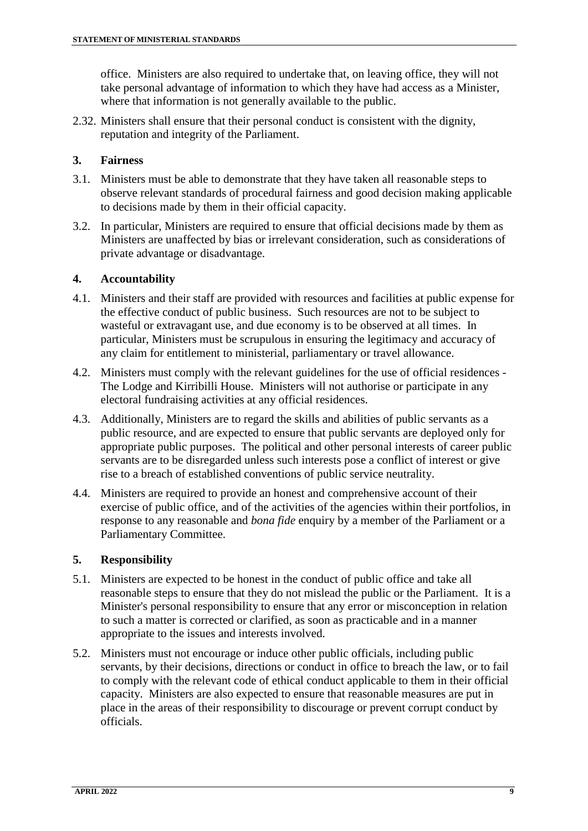office. Ministers are also required to undertake that, on leaving office, they will not take personal advantage of information to which they have had access as a Minister, where that information is not generally available to the public.

2.32. Ministers shall ensure that their personal conduct is consistent with the dignity, reputation and integrity of the Parliament.

#### <span id="page-8-0"></span>**3. Fairness**

- 3.1. Ministers must be able to demonstrate that they have taken all reasonable steps to observe relevant standards of procedural fairness and good decision making applicable to decisions made by them in their official capacity.
- 3.2. In particular, Ministers are required to ensure that official decisions made by them as Ministers are unaffected by bias or irrelevant consideration, such as considerations of private advantage or disadvantage.

#### <span id="page-8-1"></span>**4. Accountability**

- 4.1. Ministers and their staff are provided with resources and facilities at public expense for the effective conduct of public business. Such resources are not to be subject to wasteful or extravagant use, and due economy is to be observed at all times. In particular, Ministers must be scrupulous in ensuring the legitimacy and accuracy of any claim for entitlement to ministerial, parliamentary or travel allowance.
- 4.2. Ministers must comply with the relevant guidelines for the use of official residences The Lodge and Kirribilli House. Ministers will not authorise or participate in any electoral fundraising activities at any official residences.
- 4.3. Additionally, Ministers are to regard the skills and abilities of public servants as a public resource, and are expected to ensure that public servants are deployed only for appropriate public purposes. The political and other personal interests of career public servants are to be disregarded unless such interests pose a conflict of interest or give rise to a breach of established conventions of public service neutrality.
- 4.4. Ministers are required to provide an honest and comprehensive account of their exercise of public office, and of the activities of the agencies within their portfolios, in response to any reasonable and *bona fide* enquiry by a member of the Parliament or a Parliamentary Committee.

#### <span id="page-8-2"></span>**5. Responsibility**

- 5.1. Ministers are expected to be honest in the conduct of public office and take all reasonable steps to ensure that they do not mislead the public or the Parliament. It is a Minister's personal responsibility to ensure that any error or misconception in relation to such a matter is corrected or clarified, as soon as practicable and in a manner appropriate to the issues and interests involved.
- 5.2. Ministers must not encourage or induce other public officials, including public servants, by their decisions, directions or conduct in office to breach the law, or to fail to comply with the relevant code of ethical conduct applicable to them in their official capacity. Ministers are also expected to ensure that reasonable measures are put in place in the areas of their responsibility to discourage or prevent corrupt conduct by officials.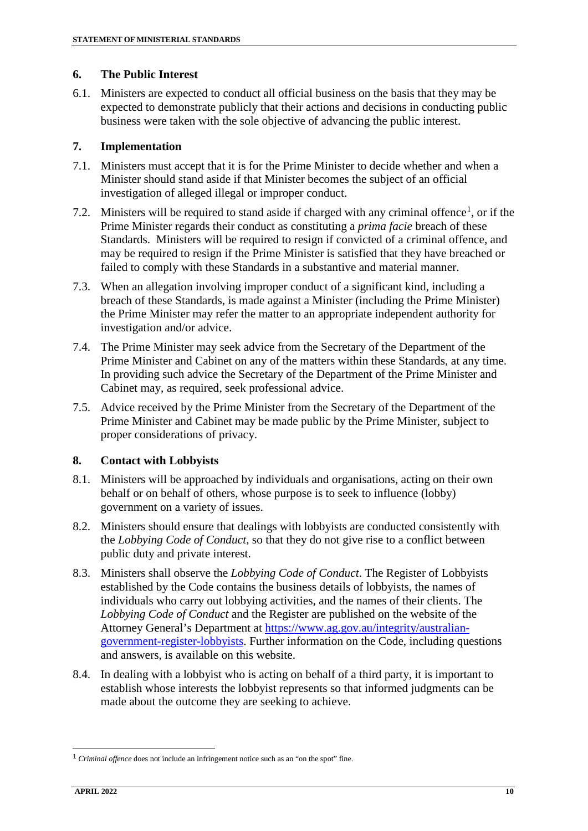#### <span id="page-9-0"></span>**6. The Public Interest**

6.1. Ministers are expected to conduct all official business on the basis that they may be expected to demonstrate publicly that their actions and decisions in conducting public business were taken with the sole objective of advancing the public interest.

#### <span id="page-9-1"></span>**7. Implementation**

- 7.1. Ministers must accept that it is for the Prime Minister to decide whether and when a Minister should stand aside if that Minister becomes the subject of an official investigation of alleged illegal or improper conduct.
- 7.2. Ministers will be required to stand aside if charged with any criminal offence<sup>[1](#page-9-3)</sup>, or if the Prime Minister regards their conduct as constituting a *prima facie* breach of these Standards. Ministers will be required to resign if convicted of a criminal offence, and may be required to resign if the Prime Minister is satisfied that they have breached or failed to comply with these Standards in a substantive and material manner.
- 7.3. When an allegation involving improper conduct of a significant kind, including a breach of these Standards, is made against a Minister (including the Prime Minister) the Prime Minister may refer the matter to an appropriate independent authority for investigation and/or advice.
- 7.4. The Prime Minister may seek advice from the Secretary of the Department of the Prime Minister and Cabinet on any of the matters within these Standards, at any time. In providing such advice the Secretary of the Department of the Prime Minister and Cabinet may, as required, seek professional advice.
- 7.5. Advice received by the Prime Minister from the Secretary of the Department of the Prime Minister and Cabinet may be made public by the Prime Minister, subject to proper considerations of privacy.

#### <span id="page-9-2"></span>**8. Contact with Lobbyists**

- 8.1. Ministers will be approached by individuals and organisations, acting on their own behalf or on behalf of others, whose purpose is to seek to influence (lobby) government on a variety of issues.
- 8.2. Ministers should ensure that dealings with lobbyists are conducted consistently with the *Lobbying Code of Conduct*, so that they do not give rise to a conflict between public duty and private interest.
- 8.3. Ministers shall observe the *Lobbying Code of Conduct*. The Register of Lobbyists established by the Code contains the business details of lobbyists, the names of individuals who carry out lobbying activities, and the names of their clients. The *Lobbying Code of Conduct* and the Register are published on the website of the Attorney General's Department at [https://www.ag.gov.au/integrity/australian](https://www.ag.gov.au/integrity/australian-government-register-lobbyists)[government-register-lobbyists.](https://www.ag.gov.au/integrity/australian-government-register-lobbyists) Further information on the Code, including questions and answers, is available on this website.
- 8.4. In dealing with a lobbyist who is acting on behalf of a third party, it is important to establish whose interests the lobbyist represents so that informed judgments can be made about the outcome they are seeking to achieve.

<span id="page-9-3"></span> <sup>1</sup> *Criminal offence* does not include an infringement notice such as an "on the spot" fine.